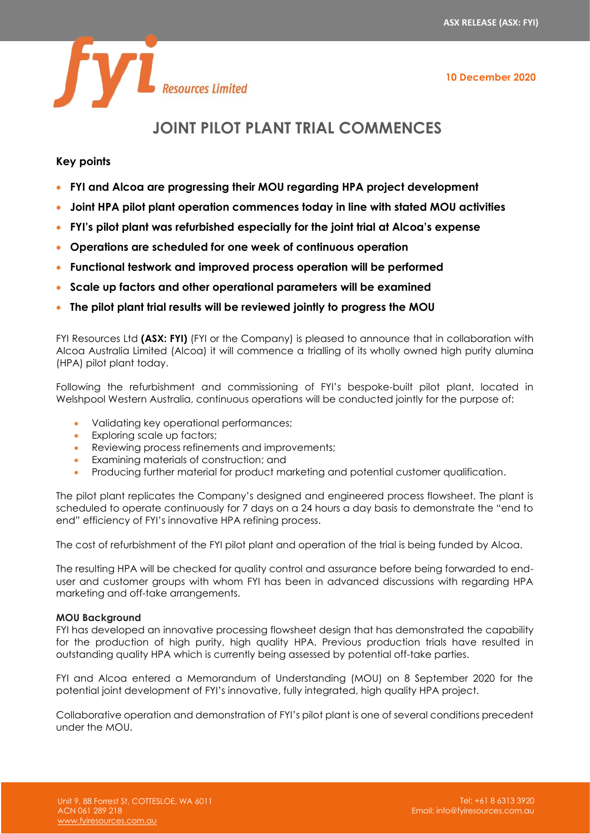**10 December 2020**



# **JOINT PILOT PLANT TRIAL COMMENCES**

# **Key points**

- **FYI and Alcoa are progressing their MOU regarding HPA project development**
- **Joint HPA pilot plant operation commences today in line with stated MOU activities**
- **FYI's pilot plant was refurbished especially for the joint trial at Alcoa's expense**
- **Operations are scheduled for one week of continuous operation**
- **Functional testwork and improved process operation will be performed**
- **Scale up factors and other operational parameters will be examined**
- **The pilot plant trial results will be reviewed jointly to progress the MOU**

FYI Resources Ltd **(ASX: FYI)** (FYI or the Company) is pleased to announce that in collaboration with Alcoa Australia Limited (Alcoa) it will commence a trialling of its wholly owned high purity alumina (HPA) pilot plant today.

Following the refurbishment and commissioning of FYI's bespoke-built pilot plant, located in Welshpool Western Australia, continuous operations will be conducted jointly for the purpose of:

- Validating key operational performances;
- Exploring scale up factors;
- Reviewing process refinements and improvements;
- Examining materials of construction; and
- Producing further material for product marketing and potential customer qualification.

The pilot plant replicates the Company's designed and engineered process flowsheet. The plant is scheduled to operate continuously for 7 days on a 24 hours a day basis to demonstrate the "end to end" efficiency of FYI's innovative HPA refining process.

The cost of refurbishment of the FYI pilot plant and operation of the trial is being funded by Alcoa.

The resulting HPA will be checked for quality control and assurance before being forwarded to enduser and customer groups with whom FYI has been in advanced discussions with regarding HPA marketing and off-take arrangements.

## **MOU Background**

FYI has developed an innovative processing flowsheet design that has demonstrated the capability for the production of high purity, high quality HPA. Previous production trials have resulted in outstanding quality HPA which is currently being assessed by potential off-take parties.

FYI and Alcoa entered a Memorandum of Understanding (MOU) on 8 September 2020 for the potential joint development of FYI's innovative, fully integrated, high quality HPA project.

Collaborative operation and demonstration of FYI's pilot plant is one of several conditions precedent under the MOU.